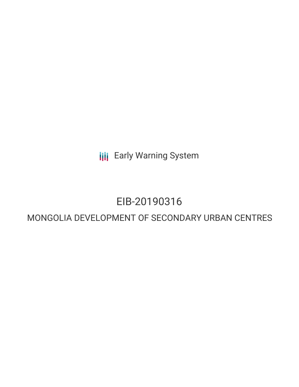**III** Early Warning System

# EIB-20190316

# MONGOLIA DEVELOPMENT OF SECONDARY URBAN CENTRES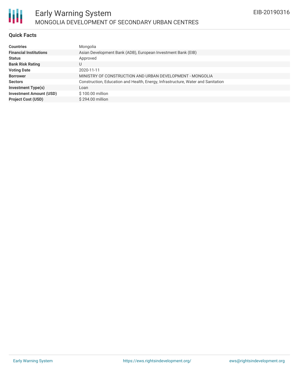

#### **Quick Facts**

| <b>Countries</b>               | Mongolia                                                                         |
|--------------------------------|----------------------------------------------------------------------------------|
| <b>Financial Institutions</b>  | Asian Development Bank (ADB), European Investment Bank (EIB)                     |
| <b>Status</b>                  | Approved                                                                         |
| <b>Bank Risk Rating</b>        | U                                                                                |
| <b>Voting Date</b>             | 2020-11-11                                                                       |
| <b>Borrower</b>                | MINISTRY OF CONSTRUCTION AND URBAN DEVELOPMENT - MONGOLIA                        |
| <b>Sectors</b>                 | Construction, Education and Health, Energy, Infrastructure, Water and Sanitation |
| <b>Investment Type(s)</b>      | Loan                                                                             |
| <b>Investment Amount (USD)</b> | \$100.00 million                                                                 |
| <b>Project Cost (USD)</b>      | $$294.00$ million                                                                |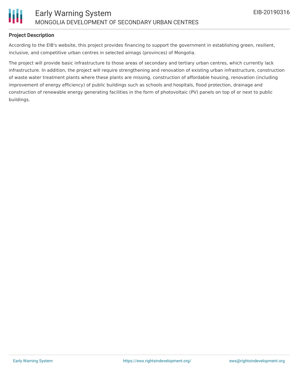

## **Project Description**

According to the EIB's website, this project provides financing to support the government in establishing green, resilient, inclusive, and competitive urban centres in selected aimags (provinces) of Mongolia.

The project will provide basic infrastructure to those areas of secondary and tertiary urban centres, which currently lack infrastructure. In addition, the project will require strengthening and renovation of existing urban infrastructure, construction of waste water treatment plants where these plants are missing, construction of affordable housing, renovation (including improvement of energy efficiency) of public buildings such as schools and hospitals, flood protection, drainage and construction of renewable energy generating facilities in the form of photovoltaic (PV) panels on top of or next to public buildings.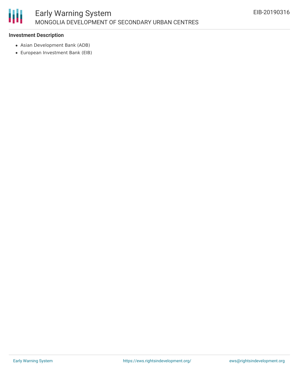

### **Investment Description**

- Asian Development Bank (ADB)
- European Investment Bank (EIB)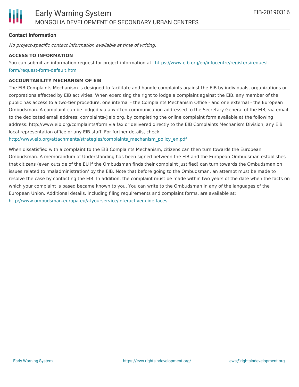### **Contact Information**

No project-specific contact information available at time of writing.

#### **ACCESS TO INFORMATION**

You can submit an information request for project information at: [https://www.eib.org/en/infocentre/registers/request](https://www.eib.org/en/infocentre/registers/request-form/request-form-default.htm)form/request-form-default.htm

#### **ACCOUNTABILITY MECHANISM OF EIB**

The EIB Complaints Mechanism is designed to facilitate and handle complaints against the EIB by individuals, organizations or corporations affected by EIB activities. When exercising the right to lodge a complaint against the EIB, any member of the public has access to a two-tier procedure, one internal - the Complaints Mechanism Office - and one external - the European Ombudsman. A complaint can be lodged via a written communication addressed to the Secretary General of the EIB, via email to the dedicated email address: complaints@eib.org, by completing the online complaint form available at the following address: http://www.eib.org/complaints/form via fax or delivered directly to the EIB Complaints Mechanism Division, any EIB local representation office or any EIB staff. For further details, check:

[http://www.eib.org/attachments/strategies/complaints\\_mechanism\\_policy\\_en.pdf](http://www.eib.org/attachments/strategies/complaints_mechanism_policy_en.pdf)

When dissatisfied with a complaint to the EIB Complaints Mechanism, citizens can then turn towards the European Ombudsman. A memorandum of Understanding has been signed between the EIB and the European Ombudsman establishes that citizens (even outside of the EU if the Ombudsman finds their complaint justified) can turn towards the Ombudsman on issues related to 'maladministration' by the EIB. Note that before going to the Ombudsman, an attempt must be made to resolve the case by contacting the EIB. In addition, the complaint must be made within two years of the date when the facts on which your complaint is based became known to you. You can write to the Ombudsman in any of the languages of the European Union. Additional details, including filing requirements and complaint forms, are available at: <http://www.ombudsman.europa.eu/atyourservice/interactiveguide.faces>